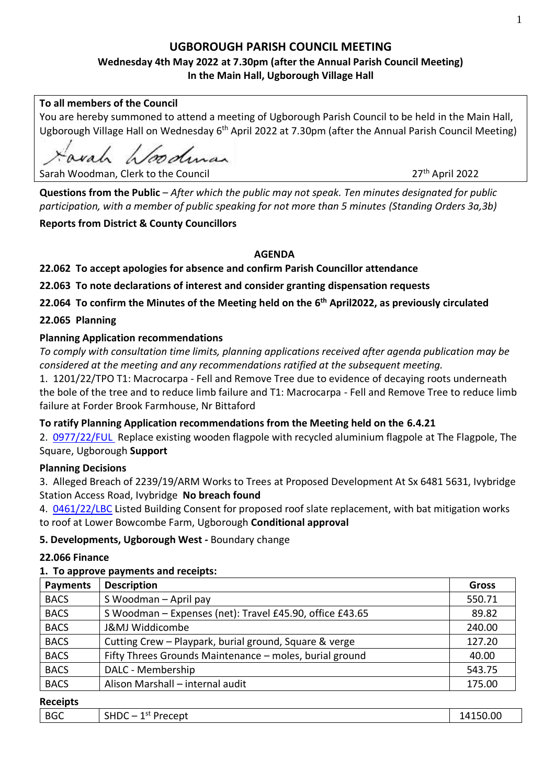# **UGBOROUGH PARISH COUNCIL MEETING**

# **Wednesday 4th May 2022 at 7.30pm (after the Annual Parish Council Meeting) In the Main Hall, Ugborough Village Hall**

### **To all members of the Council**

You are hereby summoned to attend a meeting of Ugborough Parish Council to be held in the Main Hall, Ugborough Village Hall on Wednesday 6<sup>th</sup> April 2022 at 7.30pm (after the Annual Parish Council Meeting)

val hoodman

Sarah Woodman, Clerk to the Council 2022 and 27<sup>th</sup> April 2022

**Questions from the Public** – *After which the public may not speak. Ten minutes designated for public participation, with a member of public speaking for not more than 5 minutes (Standing Orders 3a,3b)*

# **Reports from District & County Councillors**

### **AGENDA**

**22.062 To accept apologies for absence and confirm Parish Councillor attendance**

**22.063 To note declarations of interest and consider granting dispensation requests** 

**22.064 To confirm the Minutes of the Meeting held on the 6 th April2022, as previously circulated**

# **22.065 Planning**

# **Planning Application recommendations**

*To comply with consultation time limits, planning applications received after agenda publication may be considered at the meeting and any recommendations ratified at the subsequent meeting.*

1. 1201/22/TPO T1: Macrocarpa - Fell and Remove Tree due to evidence of decaying roots underneath the bole of the tree and to reduce limb failure and T1: Macrocarpa - Fell and Remove Tree to reduce limb failure at Forder Brook Farmhouse, Nr Bittaford

# **To ratify Planning Application recommendations from the Meeting held on the 6.4.21**

2. [0977/22/FUL](http://apps.southhams.gov.uk/PlanningSearchMVC/Home/Details/220977) Replace existing wooden flagpole with recycled aluminium flagpole at The Flagpole, The Square, Ugborough **Support**

# **Planning Decisions**

3. Alleged Breach of 2239/19/ARM Works to Trees at Proposed Development At Sx 6481 5631, Ivybridge Station Access Road, Ivybridge **No breach found**

4. [0461/22/LBC](http://apps.southhams.gov.uk/PlanningSearchMVC/Home/Details/220461) Listed Building Consent for proposed roof slate replacement, with bat mitigation works to roof at Lower Bowcombe Farm, Ugborough **Conditional approval**

# **5. Developments, Ugborough West -** Boundary change

### **22.066 Finance**

### **1. To approve payments and receipts:**

| <b>Payments</b> | <b>Description</b>                                       | <b>Gross</b> |
|-----------------|----------------------------------------------------------|--------------|
| <b>BACS</b>     | S Woodman - April pay                                    | 550.71       |
| <b>BACS</b>     | S Woodman - Expenses (net): Travel £45.90, office £43.65 | 89.82        |
| <b>BACS</b>     | J&MJ Widdicombe                                          | 240.00       |
| <b>BACS</b>     | Cutting Crew - Playpark, burial ground, Square & verge   | 127.20       |
| <b>BACS</b>     | Fifty Threes Grounds Maintenance - moles, burial ground  | 40.00        |
| <b>BACS</b>     | DALC - Membership                                        | 543.75       |
| <b>BACS</b>     | Alison Marshall - internal audit                         | 175.00       |
| .               |                                                          |              |

### **Receipts**

| --------   |                                                 |                |
|------------|-------------------------------------------------|----------------|
| <b>BGC</b> | CIII<br>1 St<br>-<br>Precept<br><b>SHDL</b><br> | 150.00<br>.117 |
|            |                                                 |                |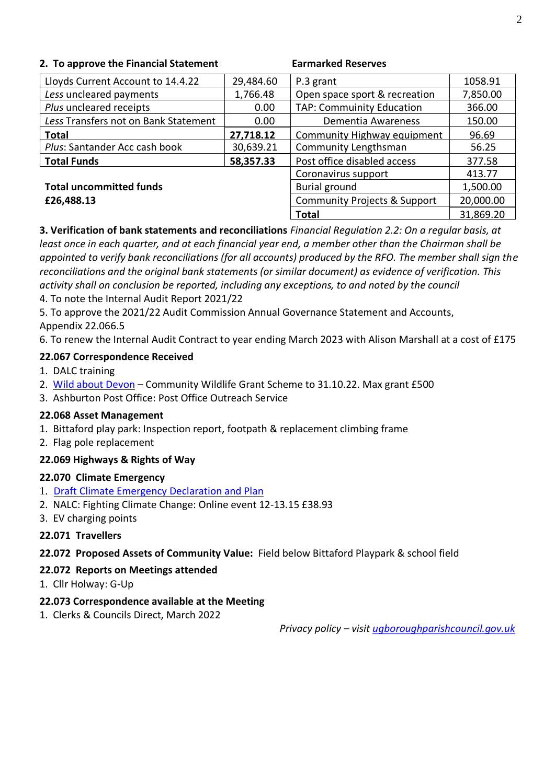### **2. To approve the Financial Statement Earmarked Reserves**

| Lloyds Current Account to 14.4.22    | 29,484.60            | P.3 grant                               | 1058.91   |
|--------------------------------------|----------------------|-----------------------------------------|-----------|
| Less uncleared payments              | 1,766.48             | Open space sport & recreation           | 7,850.00  |
| Plus uncleared receipts              | 0.00                 | <b>TAP: Commuinity Education</b>        | 366.00    |
| Less Transfers not on Bank Statement | 0.00                 | Dementia Awareness                      | 150.00    |
| <b>Total</b>                         | 27,718.12            | Community Highway equipment             | 96.69     |
| Plus: Santander Acc cash book        | 30,639.21            | Community Lengthsman                    | 56.25     |
| <b>Total Funds</b>                   | 58,357.33            | Post office disabled access             | 377.58    |
|                                      |                      | Coronavirus support                     | 413.77    |
| <b>Total uncommitted funds</b>       | <b>Burial ground</b> | 1,500.00                                |           |
| £26,488.13                           |                      | <b>Community Projects &amp; Support</b> | 20,000.00 |
|                                      |                      | <b>Total</b>                            | 31,869.20 |

**3. Verification of bank statements and reconciliations** *Financial Regulation 2.2: On a regular basis, at least once in each quarter, and at each financial year end, a member other than the Chairman shall be appointed to verify bank reconciliations (for all accounts) produced by the RFO. The member shall sign the reconciliations and the original bank statements (or similar document) as evidence of verification. This activity shall on conclusion be reported, including any exceptions, to and noted by the council* 

4. To note the Internal Audit Report 2021/22

5. To approve the 2021/22 Audit Commission Annual Governance Statement and Accounts,

Appendix 22.066.5

6. To renew the Internal Audit Contract to year ending March 2023 with Alison Marshall at a cost of £175

### **22.067 Correspondence Received**

- 1. DALC training
- 2. [Wild about Devon](https://www.devoncommunities.org.uk/projects/wild-about-devon-community-wildlife-grant-scheme) Community Wildlife Grant Scheme to 31.10.22. Max grant £500
- 3. Ashburton Post Office: Post Office Outreach Service

### **22.068 Asset Management**

- 1. Bittaford play park: Inspection report, footpath & replacement climbing frame
- 2. Flag pole replacement

# **22.069 Highways & Rights of Way**

# **22.070 Climate Emergency**

- 1. [Draft Climate Emergency Declaration and Plan](https://ugboroughpc.files.wordpress.com/2022/03/climate-emergency-declaration-plan-draft-mar-22.pdf)
- 2. NALC: Fighting Climate Change: Online event 12-13.15 £38.93
- 3. EV charging points

# **22.071 Travellers**

# **22.072 Proposed Assets of Community Value:** Field below Bittaford Playpark & school field

# **22.072 Reports on Meetings attended**

1. Cllr Holway: G-Up

### **22.073 Correspondence available at the Meeting**

1. Clerks & Councils Direct, March 2022

 *Privacy policy – visit [ugboroughparishcouncil.gov.uk](https://ugboroughparishcouncil.org/parish-council-publication-scheme/general-data-protection-regulations/)*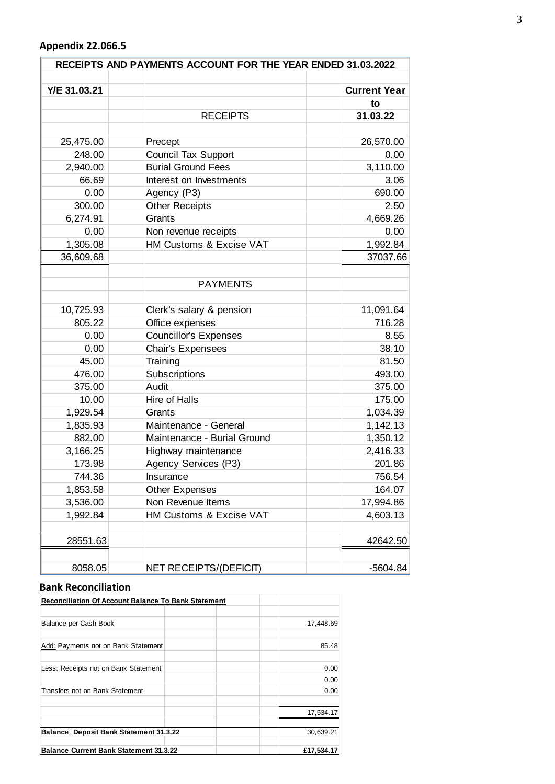### **Appendix 22.066.5**

| RECEIPTS AND PAYMENTS ACCOUNT FOR THE YEAR ENDED 31.03.2022 |                                                         |                     |  |
|-------------------------------------------------------------|---------------------------------------------------------|---------------------|--|
|                                                             |                                                         | <b>Current Year</b> |  |
| Y/E 31.03.21                                                |                                                         |                     |  |
|                                                             | <b>RECEIPTS</b>                                         | to<br>31.03.22      |  |
|                                                             |                                                         |                     |  |
|                                                             |                                                         |                     |  |
| 25,475.00                                                   | Precept                                                 | 26,570.00           |  |
| 248.00                                                      | <b>Council Tax Support</b><br><b>Burial Ground Fees</b> | 0.00                |  |
| 2,940.00                                                    |                                                         | 3,110.00            |  |
| 66.69                                                       | Interest on Investments                                 | 3.06                |  |
| 0.00                                                        | Agency (P3)                                             | 690.00              |  |
| 300.00                                                      | <b>Other Receipts</b>                                   | 2.50                |  |
| 6,274.91                                                    | Grants                                                  | 4,669.26            |  |
| 0.00                                                        | Non revenue receipts                                    | 0.00                |  |
| 1,305.08                                                    | HM Customs & Excise VAT                                 | 1,992.84            |  |
| 36,609.68                                                   |                                                         | 37037.66            |  |
|                                                             |                                                         |                     |  |
|                                                             | <b>PAYMENTS</b>                                         |                     |  |
| 10,725.93                                                   | Clerk's salary & pension                                | 11,091.64           |  |
| 805.22                                                      | Office expenses                                         | 716.28              |  |
| 0.00                                                        | <b>Councillor's Expenses</b>                            | 8.55                |  |
| 0.00                                                        | Chair's Expensees                                       | 38.10               |  |
| 45.00                                                       | Training                                                | 81.50               |  |
| 476.00                                                      | Subscriptions                                           | 493.00              |  |
| 375.00                                                      | Audit                                                   | 375.00              |  |
| 10.00                                                       | Hire of Halls                                           | 175.00              |  |
| 1,929.54                                                    | Grants                                                  | 1,034.39            |  |
| 1,835.93                                                    | Maintenance - General                                   | 1,142.13            |  |
| 882.00                                                      | Maintenance - Burial Ground                             | 1,350.12            |  |
| 3,166.25                                                    | Highway maintenance                                     | 2,416.33            |  |
| 173.98                                                      | Agency Services (P3)                                    | 201.86              |  |
| 744.36                                                      | Insurance                                               | 756.54              |  |
| 1,853.58                                                    | <b>Other Expenses</b>                                   | 164.07              |  |
| 3,536.00                                                    | Non Revenue Items                                       | 17,994.86           |  |
| 1,992.84                                                    | HM Customs & Excise VAT                                 | 4,603.13            |  |
|                                                             |                                                         |                     |  |
| 28551.63                                                    |                                                         | 42642.50            |  |
| 8058.05                                                     | NET RECEIPTS/(DEFICIT)                                  | $-5604.84$          |  |

# **Bank Reconciliation**

| <b>Reconciliation Of Account Balance To Bank Statement</b> |            |
|------------------------------------------------------------|------------|
|                                                            |            |
| Balance per Cash Book                                      | 17,448.69  |
|                                                            |            |
| Add: Payments not on Bank Statement                        | 85.48      |
| Less: Receipts not on Bank Statement                       | 0.00       |
|                                                            | 0.00       |
| Transfers not on Bank Statement                            | 0.00       |
|                                                            | 17,534.17  |
| <b>Balance Deposit Bank Statement 31.3.22</b>              | 30,639.21  |
| <b>Balance Current Bank Statement 31.3.22</b>              | £17.534.17 |